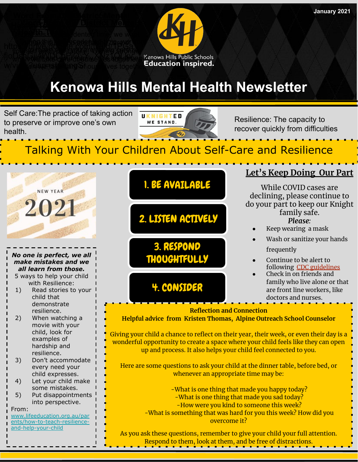

Self Care:The practice of taking action to preserve or improve one's own health.



Resilience: The capacity to recover quickly from difficulties

## Talking With Your Children About Self-Care and Resilience



[ents/how-to-teach-resilience](http://www.lifeeducation.org.au/parents/how-to-teach-resilience-and-help-your-child)[and-help-your-child](http://www.lifeeducation.org.au/parents/how-to-teach-resilience-and-help-your-child)



As you ask these questions, remember to give your child your full attention. Respond to them, look at them, and be free of distractions.